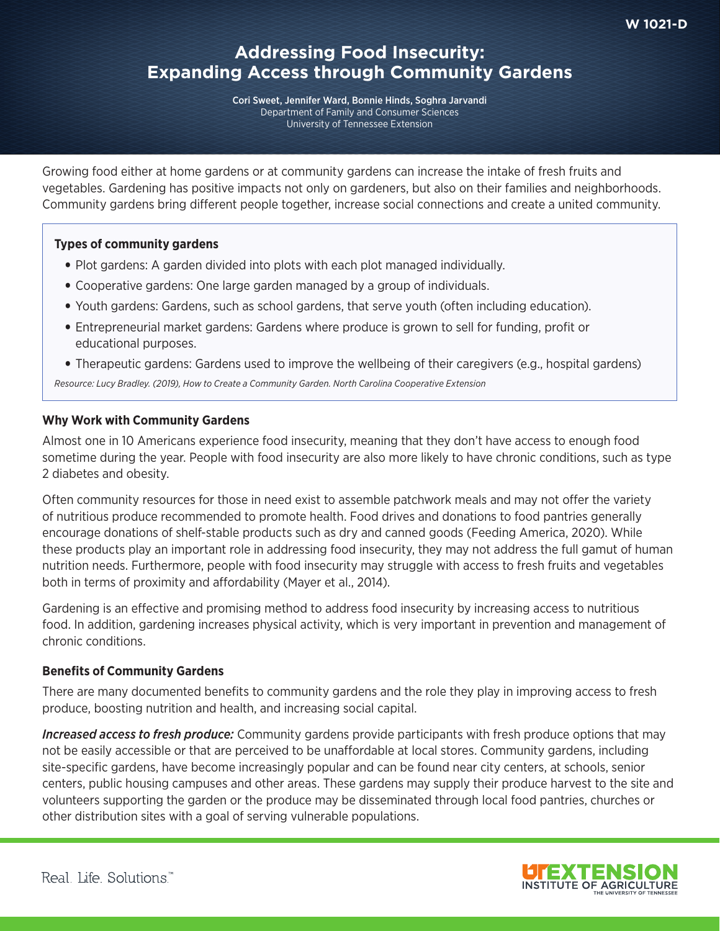# **Addressing Food Insecurity: Expanding Access through Community Gardens**

Cori Sweet, Jennifer Ward, Bonnie Hinds, Soghra Jarvandi Department of Family and Consumer Sciences University of Tennessee Extension

Growing food either at home gardens or at community gardens can increase the intake of fresh fruits and vegetables. Gardening has positive impacts not only on gardeners, but also on their families and neighborhoods. Community gardens bring diferent people together, increase social connections and create a united community.

## **Types of community gardens**

- Plot gardens: A garden divided into plots with each plot managed individually.
- Cooperative gardens: One large garden managed by a group of individuals.
- Youth gardens: Gardens, such as school gardens, that serve youth (often including education).
- Entrepreneurial market gardens: Gardens where produce is grown to sell for funding, proft or educational purposes.
- Therapeutic gardens: Gardens used to improve the wellbeing of their caregivers (e.g., hospital gardens)

*Resource: Lucy Bradley. (2019), How to Create a Community Garden. North Carolina Cooperative Extension*

## **Why Work with Community Gardens**

Almost one in 10 Americans experience food insecurity, meaning that they don't have access to enough food sometime during the year. People with food insecurity are also more likely to have chronic conditions, such as type 2 diabetes and obesity.

Often community resources for those in need exist to assemble patchwork meals and may not ofer the variety of nutritious produce recommended to promote health. Food drives and donations to food pantries generally encourage donations of shelf-stable products such as dry and canned goods (Feeding America, 2020). While these products play an important role in addressing food insecurity, they may not address the full gamut of human nutrition needs. Furthermore, people with food insecurity may struggle with access to fresh fruits and vegetables both in terms of proximity and affordability (Mayer et al., 2014).

Gardening is an efective and promising method to address food insecurity by increasing access to nutritious food. In addition, gardening increases physical activity, which is very important in prevention and management of chronic conditions.

## **Benefts of Community Gardens**

There are many documented benefts to community gardens and the role they play in improving access to fresh produce, boosting nutrition and health, and increasing social capital.

*Increased access to fresh produce:* Community gardens provide participants with fresh produce options that may not be easily accessible or that are perceived to be unafordable at local stores. Community gardens, including site-specifc gardens, have become increasingly popular and can be found near city centers, at schools, senior centers, public housing campuses and other areas. These gardens may supply their produce harvest to the site and volunteers supporting the garden or the produce may be disseminated through local food pantries, churches or other distribution sites with a goal of serving vulnerable populations.

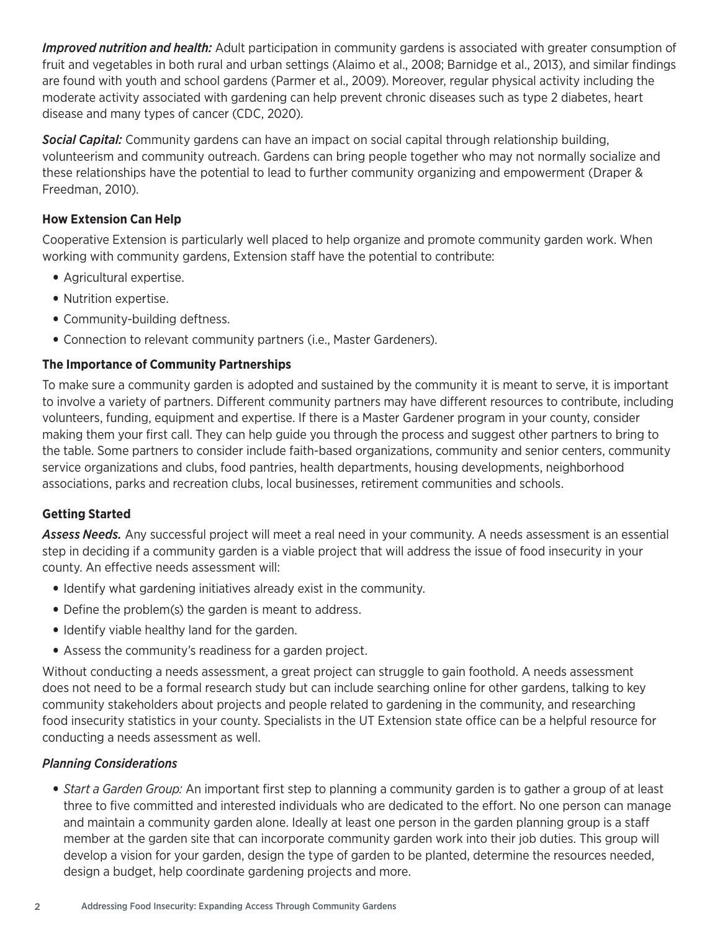*Improved nutrition and health:* Adult participation in community gardens is associated with greater consumption of fruit and vegetables in both rural and urban settings (Alaimo et al., 2008; Barnidge et al., 2013), and similar fndings are found with youth and school gardens (Parmer et al., 2009). Moreover, regular physical activity including the moderate activity associated with gardening can help prevent chronic diseases such as type 2 diabetes, heart disease and many types of cancer (CDC, 2020).

*Social Capital:* Community gardens can have an impact on social capital through relationship building, volunteerism and community outreach. Gardens can bring people together who may not normally socialize and these relationships have the potential to lead to further community organizing and empowerment (Draper & Freedman, 2010).

## **How Extension Can Help**

Cooperative Extension is particularly well placed to help organize and promote community garden work. When working with community gardens, Extension staff have the potential to contribute:

- Agricultural expertise.
- Nutrition expertise.
- Community-building deftness.
- Connection to relevant community partners (i.e., Master Gardeners).

## **The Importance of Community Partnerships**

To make sure a community garden is adopted and sustained by the community it is meant to serve, it is important to involve a variety of partners. Diferent community partners may have diferent resources to contribute, including volunteers, funding, equipment and expertise. If there is a Master Gardener program in your county, consider making them your frst call. They can help guide you through the process and suggest other partners to bring to the table. Some partners to consider include faith-based organizations, community and senior centers, community service organizations and clubs, food pantries, health departments, housing developments, neighborhood associations, parks and recreation clubs, local businesses, retirement communities and schools.

## **Getting Started**

*Assess Needs.* Any successful project will meet a real need in your community. A needs assessment is an essential step in deciding if a community garden is a viable project that will address the issue of food insecurity in your county. An effective needs assessment will:

- Identify what gardening initiatives already exist in the community.
- Define the problem(s) the garden is meant to address.
- Identify viable healthy land for the garden.
- Assess the community's readiness for a garden project.

Without conducting a needs assessment, a great project can struggle to gain foothold. A needs assessment does not need to be a formal research study but can include searching online for other gardens, talking to key community stakeholders about projects and people related to gardening in the community, and researching food insecurity statistics in your county. Specialists in the UT Extension state office can be a helpful resource for conducting a needs assessment as well.

## *Planning Considerations*

• *Start a Garden Group:* An important frst step to planning a community garden is to gather a group of at least three to five committed and interested individuals who are dedicated to the effort. No one person can manage and maintain a community garden alone. Ideally at least one person in the garden planning group is a staff member at the garden site that can incorporate community garden work into their job duties. This group will develop a vision for your garden, design the type of garden to be planted, determine the resources needed, design a budget, help coordinate gardening projects and more.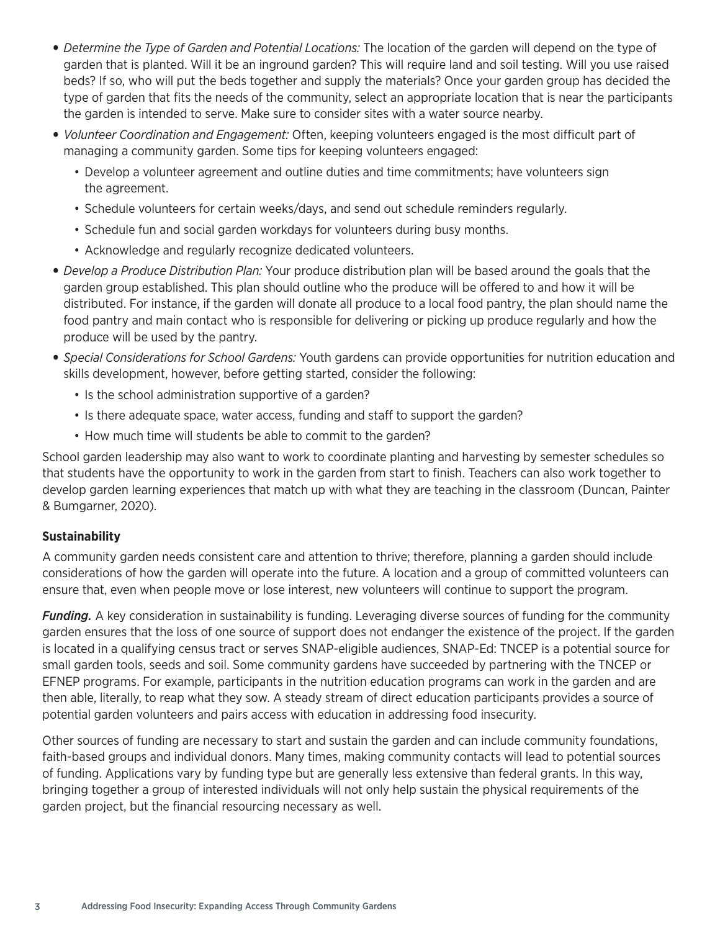- *Determine the Type of Garden and Potential Locations:* The location of the garden will depend on the type of garden that is planted. Will it be an inground garden? This will require land and soil testing. Will you use raised beds? If so, who will put the beds together and supply the materials? Once your garden group has decided the type of garden that fits the needs of the community, select an appropriate location that is near the participants the garden is intended to serve. Make sure to consider sites with a water source nearby.
- *Volunteer Coordination and Engagement:* Often, keeping volunteers engaged is the most difficult part of managing a community garden. Some tips for keeping volunteers engaged:
	- Develop a volunteer agreement and outline duties and time commitments; have volunteers sign the agreement.
	- Schedule volunteers for certain weeks/days, and send out schedule reminders regularly.
	- Schedule fun and social garden workdays for volunteers during busy months.
	- Acknowledge and regularly recognize dedicated volunteers.
- *Develop a Produce Distribution Plan:* Your produce distribution plan will be based around the goals that the garden group established. This plan should outline who the produce will be ofered to and how it will be distributed. For instance, if the garden will donate all produce to a local food pantry, the plan should name the food pantry and main contact who is responsible for delivering or picking up produce regularly and how the produce will be used by the pantry.
- *Special Considerations for School Gardens:* Youth gardens can provide opportunities for nutrition education and skills development, however, before getting started, consider the following:
	- Is the school administration supportive of a garden?
	- Is there adequate space, water access, funding and staff to support the garden?
	- How much time will students be able to commit to the garden?

School garden leadership may also want to work to coordinate planting and harvesting by semester schedules so that students have the opportunity to work in the garden from start to fnish. Teachers can also work together to develop garden learning experiences that match up with what they are teaching in the classroom (Duncan, Painter & Bumgarner, 2020).

## **Sustainability**

A community garden needs consistent care and attention to thrive; therefore, planning a garden should include considerations of how the garden will operate into the future. A location and a group of committed volunteers can ensure that, even when people move or lose interest, new volunteers will continue to support the program.

*Funding.* A key consideration in sustainability is funding. Leveraging diverse sources of funding for the community garden ensures that the loss of one source of support does not endanger the existence of the project. If the garden is located in a qualifying census tract or serves SNAP-eligible audiences, SNAP-Ed: TNCEP is a potential source for small garden tools, seeds and soil. Some community gardens have succeeded by partnering with the TNCEP or EFNEP programs. For example, participants in the nutrition education programs can work in the garden and are then able, literally, to reap what they sow. A steady stream of direct education participants provides a source of potential garden volunteers and pairs access with education in addressing food insecurity.

Other sources of funding are necessary to start and sustain the garden and can include community foundations, faith-based groups and individual donors. Many times, making community contacts will lead to potential sources of funding. Applications vary by funding type but are generally less extensive than federal grants. In this way, bringing together a group of interested individuals will not only help sustain the physical requirements of the garden project, but the financial resourcing necessary as well.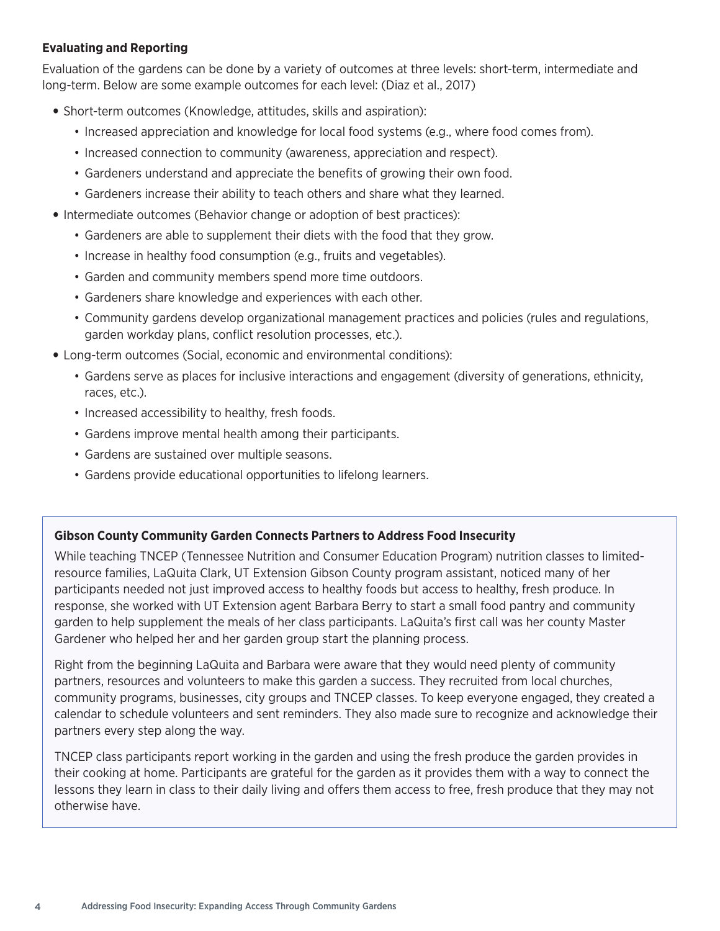## **Evaluating and Reporting**

Evaluation of the gardens can be done by a variety of outcomes at three levels: short-term, intermediate and long-term. Below are some example outcomes for each level: (Diaz et al., 2017)

- Short-term outcomes (Knowledge, attitudes, skills and aspiration):
	- Increased appreciation and knowledge for local food systems (e.g., where food comes from).
	- Increased connection to community (awareness, appreciation and respect).
	- Gardeners understand and appreciate the benefits of growing their own food.
	- Gardeners increase their ability to teach others and share what they learned.
- Intermediate outcomes (Behavior change or adoption of best practices):
	- Gardeners are able to supplement their diets with the food that they grow.
	- Increase in healthy food consumption (e.g., fruits and vegetables).
	- Garden and community members spend more time outdoors.
	- Gardeners share knowledge and experiences with each other.
	- Community gardens develop organizational management practices and policies (rules and regulations, garden workday plans, confict resolution processes, etc.).
- Long-term outcomes (Social, economic and environmental conditions):
	- Gardens serve as places for inclusive interactions and engagement (diversity of generations, ethnicity, races, etc.).
	- Increased accessibility to healthy, fresh foods.
	- Gardens improve mental health among their participants.
	- Gardens are sustained over multiple seasons.
	- Gardens provide educational opportunities to lifelong learners.

## **Gibson County Community Garden Connects Partners to Address Food Insecurity**

While teaching TNCEP (Tennessee Nutrition and Consumer Education Program) nutrition classes to limitedresource families, LaQuita Clark, UT Extension Gibson County program assistant, noticed many of her participants needed not just improved access to healthy foods but access to healthy, fresh produce. In response, she worked with UT Extension agent Barbara Berry to start a small food pantry and community garden to help supplement the meals of her class participants. LaQuita's frst call was her county Master Gardener who helped her and her garden group start the planning process.

Right from the beginning LaQuita and Barbara were aware that they would need plenty of community partners, resources and volunteers to make this garden a success. They recruited from local churches, community programs, businesses, city groups and TNCEP classes. To keep everyone engaged, they created a calendar to schedule volunteers and sent reminders. They also made sure to recognize and acknowledge their partners every step along the way.

TNCEP class participants report working in the garden and using the fresh produce the garden provides in their cooking at home. Participants are grateful for the garden as it provides them with a way to connect the lessons they learn in class to their daily living and offers them access to free, fresh produce that they may not otherwise have.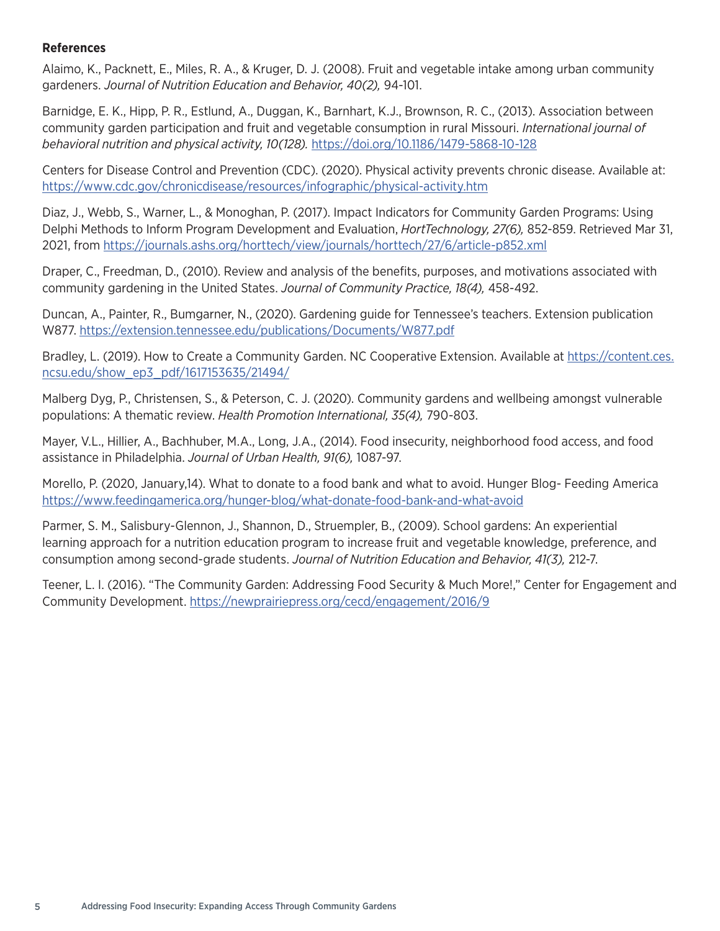#### **References**

Alaimo, K., Packnett, E., Miles, R. A., & Kruger, D. J. (2008). Fruit and vegetable intake among urban community gardeners. *Journal of Nutrition Education and Behavior, 40(2),* 94-101.

Barnidge, E. K., Hipp, P. R., Estlund, A., Duggan, K., Barnhart, K.J., Brownson, R. C., (2013). Association between community garden participation and fruit and vegetable consumption in rural Missouri. *International journal of behavioral nutrition and physical activity, 10(128).* https://doi.org/10.1186/1479-5868-10-128

Centers for Disease Control and Prevention (CDC). (2020). Physical activity prevents chronic disease. Available at: https://www.cdc.gov/chronicdisease/resources/infographic/physical-activity.htm

Diaz, J., Webb, S., Warner, L., & Monoghan, P. (2017). Impact Indicators for Community Garden Programs: Using Delphi Methods to Inform Program Development and Evaluation, *HortTechnology, 27(6),* 852-859. Retrieved Mar 31, 2021, from https://journals.ashs.org/horttech/view/journals/horttech/27/6/article-p852.xml

Draper, C., Freedman, D., (2010). Review and analysis of the benefts, purposes, and motivations associated with community gardening in the United States. *Journal of Community Practice, 18(4),* 458-492.

Duncan, A., Painter, R., Bumgarner, N., (2020). Gardening guide for Tennessee's teachers. Extension publication W877. https://extension.tennessee.edu/publications/Documents/W877.pdf

Bradley, L. (2019). How to Create a Community Garden. NC Cooperative Extension. Available at https://content.ces. ncsu.edu/show\_ep3\_pdf/1617153635/21494/

Malberg Dyg, P., Christensen, S., & Peterson, C. J. (2020). Community gardens and wellbeing amongst vulnerable populations: A thematic review. *Health Promotion International, 35(4),* 790-803.

Mayer, V.L., Hillier, A., Bachhuber, M.A., Long, J.A., (2014). Food insecurity, neighborhood food access, and food assistance in Philadelphia. *Journal of Urban Health, 91(6),* 1087-97.

Morello, P. (2020, January,14). What to donate to a food bank and what to avoid. Hunger Blog- Feeding America https://www.feedingamerica.org/hunger-blog/what-donate-food-bank-and-what-avoid

Parmer, S. M., Salisbury-Glennon, J., Shannon, D., Struempler, B., (2009). School gardens: An experiential learning approach for a nutrition education program to increase fruit and vegetable knowledge, preference, and consumption among second-grade students. *Journal of Nutrition Education and Behavior, 41(3),* 212-7.

Teener, L. I. (2016). "The Community Garden: Addressing Food Security & Much More!," Center for Engagement and Community Development. https://newprairiepress.org/cecd/engagement/2016/9